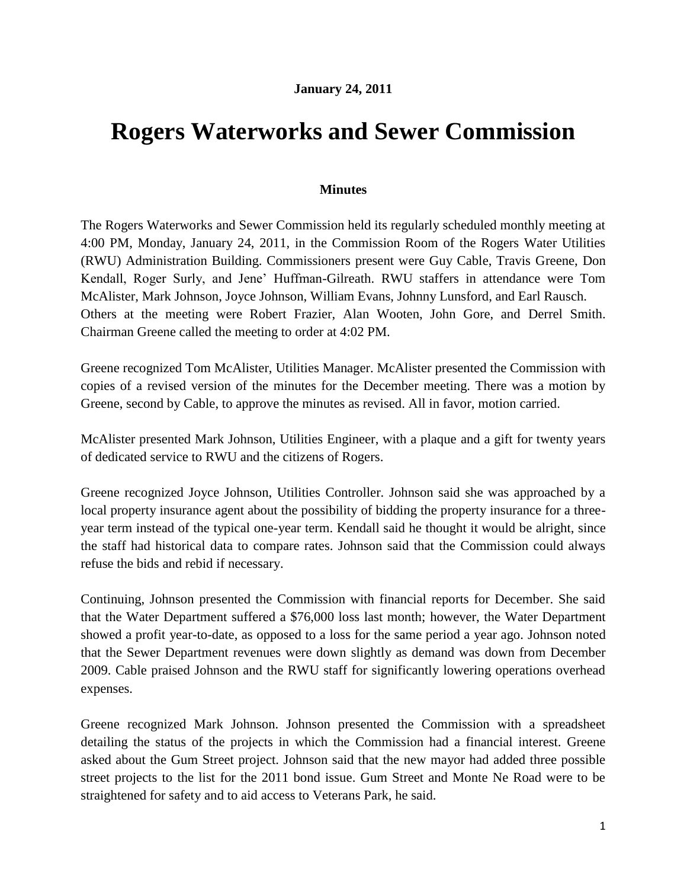## **January 24, 2011**

## **Rogers Waterworks and Sewer Commission**

## **Minutes**

The Rogers Waterworks and Sewer Commission held its regularly scheduled monthly meeting at 4:00 PM, Monday, January 24, 2011, in the Commission Room of the Rogers Water Utilities (RWU) Administration Building. Commissioners present were Guy Cable, Travis Greene, Don Kendall, Roger Surly, and Jene' Huffman-Gilreath. RWU staffers in attendance were Tom McAlister, Mark Johnson, Joyce Johnson, William Evans, Johnny Lunsford, and Earl Rausch. Others at the meeting were Robert Frazier, Alan Wooten, John Gore, and Derrel Smith. Chairman Greene called the meeting to order at 4:02 PM.

Greene recognized Tom McAlister, Utilities Manager. McAlister presented the Commission with copies of a revised version of the minutes for the December meeting. There was a motion by Greene, second by Cable, to approve the minutes as revised. All in favor, motion carried.

McAlister presented Mark Johnson, Utilities Engineer, with a plaque and a gift for twenty years of dedicated service to RWU and the citizens of Rogers.

Greene recognized Joyce Johnson, Utilities Controller. Johnson said she was approached by a local property insurance agent about the possibility of bidding the property insurance for a threeyear term instead of the typical one-year term. Kendall said he thought it would be alright, since the staff had historical data to compare rates. Johnson said that the Commission could always refuse the bids and rebid if necessary.

Continuing, Johnson presented the Commission with financial reports for December. She said that the Water Department suffered a \$76,000 loss last month; however, the Water Department showed a profit year-to-date, as opposed to a loss for the same period a year ago. Johnson noted that the Sewer Department revenues were down slightly as demand was down from December 2009. Cable praised Johnson and the RWU staff for significantly lowering operations overhead expenses.

Greene recognized Mark Johnson. Johnson presented the Commission with a spreadsheet detailing the status of the projects in which the Commission had a financial interest. Greene asked about the Gum Street project. Johnson said that the new mayor had added three possible street projects to the list for the 2011 bond issue. Gum Street and Monte Ne Road were to be straightened for safety and to aid access to Veterans Park, he said.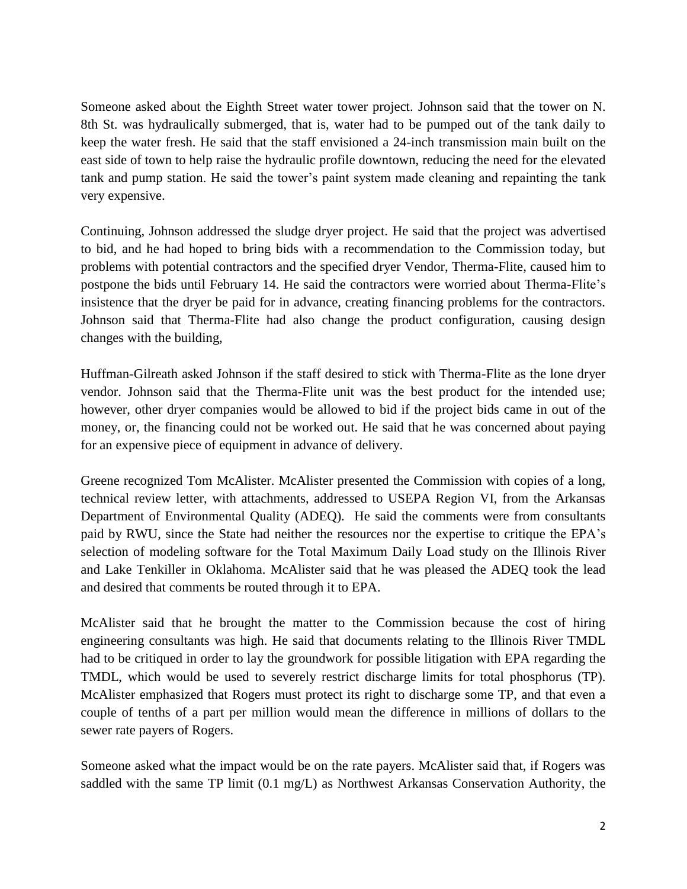Someone asked about the Eighth Street water tower project. Johnson said that the tower on N. 8th St. was hydraulically submerged, that is, water had to be pumped out of the tank daily to keep the water fresh. He said that the staff envisioned a 24-inch transmission main built on the east side of town to help raise the hydraulic profile downtown, reducing the need for the elevated tank and pump station. He said the tower's paint system made cleaning and repainting the tank very expensive.

Continuing, Johnson addressed the sludge dryer project. He said that the project was advertised to bid, and he had hoped to bring bids with a recommendation to the Commission today, but problems with potential contractors and the specified dryer Vendor, Therma-Flite, caused him to postpone the bids until February 14. He said the contractors were worried about Therma-Flite's insistence that the dryer be paid for in advance, creating financing problems for the contractors. Johnson said that Therma-Flite had also change the product configuration, causing design changes with the building,

Huffman-Gilreath asked Johnson if the staff desired to stick with Therma-Flite as the lone dryer vendor. Johnson said that the Therma-Flite unit was the best product for the intended use; however, other dryer companies would be allowed to bid if the project bids came in out of the money, or, the financing could not be worked out. He said that he was concerned about paying for an expensive piece of equipment in advance of delivery.

Greene recognized Tom McAlister. McAlister presented the Commission with copies of a long, technical review letter, with attachments, addressed to USEPA Region VI, from the Arkansas Department of Environmental Quality (ADEQ). He said the comments were from consultants paid by RWU, since the State had neither the resources nor the expertise to critique the EPA's selection of modeling software for the Total Maximum Daily Load study on the Illinois River and Lake Tenkiller in Oklahoma. McAlister said that he was pleased the ADEQ took the lead and desired that comments be routed through it to EPA.

McAlister said that he brought the matter to the Commission because the cost of hiring engineering consultants was high. He said that documents relating to the Illinois River TMDL had to be critiqued in order to lay the groundwork for possible litigation with EPA regarding the TMDL, which would be used to severely restrict discharge limits for total phosphorus (TP). McAlister emphasized that Rogers must protect its right to discharge some TP, and that even a couple of tenths of a part per million would mean the difference in millions of dollars to the sewer rate payers of Rogers.

Someone asked what the impact would be on the rate payers. McAlister said that, if Rogers was saddled with the same TP limit (0.1 mg/L) as Northwest Arkansas Conservation Authority, the